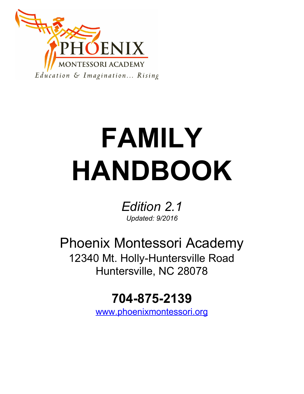

# **FAMILY HANDBOOK**

*Edition 2.1 Updated: 9/2016*

Phoenix Montessori Academy 12340 Mt. Holly-Huntersville Road Huntersville, NC 28078

# **704-875-2139**

[www.phoenixmontessori.org](http://www.phoenixmontessori.org/)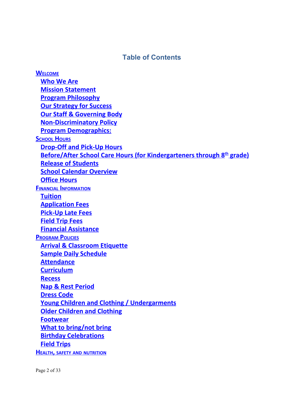# **Table of Contents**

**W[ELCOME](#page-3-0) [Who We Are](#page-4-0) [Mission Statement](#page-5-0) [Program Philosophy](#page-5-1) [Our Strategy for Success](#page-5-2) [Our Staff & Governing Body](#page-6-0) [Non-Discriminatory Policy](#page-6-1) [Program Demographics:](#page-6-2) S[CHOOL](#page-7-0) HOURS [Drop-Off and Pick-Up Hours](#page-7-1) Before/After School Care Hours (for Kindergarteners through 8 th grade) [Release of Students](#page-8-0) [School Calendar Overview](#page-8-1) [Office Hours](#page-8-2) FINANCIAL I[NFORMATION](#page-8-3) [Tuition](#page-8-4) [Application Fees](#page-9-0) [Pick-Up Late Fees](#page-10-0) [Field Trip Fees](#page-10-1) [Financial Assistance](#page-10-2) P[ROGRAM](#page-10-3) POLICIES [Arrival & Classroom Etiquette](#page-10-4) [Sample Daily Schedule](#page-11-0) [Attendance](#page-11-1) [Curriculum](#page-11-2) [Recess](#page-11-3) [Nap & Rest Period](#page-11-4) [Dress Code](#page-11-5) [Young Children and Clothing / Undergarments](#page-12-0) Older Children and Clothing [Footwear](#page-12-1) [What to bring/not bring](#page-12-2) [Birthday Celebrations](#page-13-0) [Field Trips](#page-13-1) HEALTH, SAFETY AND [NUTRITION](#page-13-2)**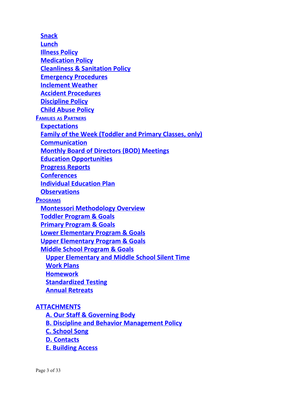**[Snack](#page-14-0) [Lunch](#page-14-1) [Illness Policy](#page-14-2) [Medication Policy](#page-15-0) [Cleanliness & Sanitation Policy](#page-15-1) [Emergency Procedures](#page-15-2) [Inclement Weather](#page-15-3) [Accident Procedures](#page-16-0) [Discipline Policy](#page-16-1) [Child Abuse Policy](#page-16-2) FAMILIES AS P[ARTNERS](#page-17-0) [Expectations](#page-17-1) [Family of the Week \(Toddler and Primary Classes, only\)](#page-17-2) [Communication](#page-17-3) [Monthly Board of Directors \(BOD\) Meetings](#page-17-4) [Education Opportunities](#page-18-0) [Progress Reports](#page-18-1) [Conferences](#page-18-2) [Individual Education Plan](#page-18-3) [Observations](#page-18-4) P[ROGRAMS](#page-18-5) [Montessori Methodology Overview](#page-18-6) [Toddler Program & Goals](#page-19-0) [Primary Program & Goals](#page-20-0) [Lower Elementary Program & Goals](#page-21-0) [Upper Elementary Program & Goals](#page-22-0) [Middle School Program & Goals](#page-23-0) [Upper Elementary and Middle School Silent Time](#page-24-0) [Work Plans](#page-24-1) [Homework](#page-25-0) [Standardized Testing](#page-25-1) [Annual Retreats](#page-25-2)**

# **[ATTACHMENTS](#page-25-3)**

**[A. Our Staff & Governing Body](#page-26-0)**

**[B. Discipline and Behavior Management Policy](#page-27-0)**

**[C. School Song](#page-29-0)**

**[D. Contacts](#page-30-0)**

**[E. Building Access](#page-31-0)**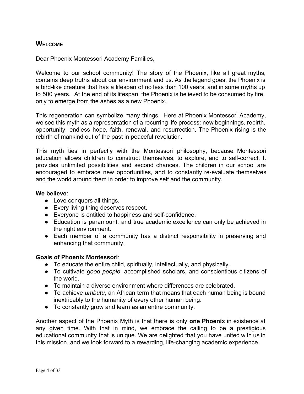# <span id="page-3-0"></span>**WELCOME**

Dear Phoenix Montessori Academy Families,

Welcome to our school community! The story of the Phoenix, like all great myths, contains deep truths about our environment and us. As the legend goes, the Phoenix is a bird-like creature that has a lifespan of no less than 100 years, and in some myths up to 500 years. At the end of its lifespan, the Phoenix is believed to be consumed by fire, only to emerge from the ashes as a new Phoenix.

This regeneration can symbolize many things. Here at Phoenix Montessori Academy, we see this myth as a representation of a recurring life process: new beginnings, rebirth, opportunity, endless hope, faith, renewal, and resurrection. The Phoenix rising is the rebirth of mankind out of the past in peaceful revolution.

This myth ties in perfectly with the Montessori philosophy, because Montessori education allows children to construct themselves, to explore, and to self-correct. It provides unlimited possibilities and second chances. The children in our school are encouraged to embrace new opportunities, and to constantly re-evaluate themselves and the world around them in order to improve self and the community.

#### **We believe**:

- Love conquers all things.
- Every living thing deserves respect.
- Everyone is entitled to happiness and self-confidence.
- Education is paramount, and true academic excellence can only be achieved in the right environment.
- Each member of a community has a distinct responsibility in preserving and enhancing that community.

#### **Goals of Phoenix Montessori**:

- To educate the entire child, spiritually, intellectually, and physically.
- To cultivate *good people*, accomplished scholars, and conscientious citizens of the world.
- To maintain a diverse environment where differences are celebrated.
- To achieve *umbutu*, an African term that means that each human being is bound inextricably to the humanity of every other human being.
- To constantly grow and learn as an entire community.

Another aspect of the Phoenix Myth is that there is only **one Phoenix** in existence at any given time. With that in mind, we embrace the calling to be a prestigious educational community that is unique. We are delighted that you have united with us in this mission, and we look forward to a rewarding, life-changing academic experience.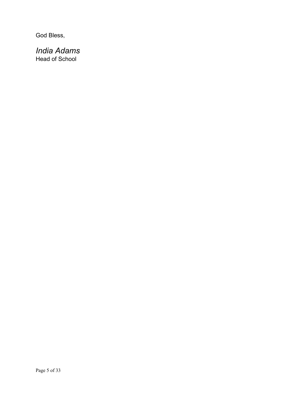God Bless,

# <span id="page-4-0"></span>*India Adams* Head of School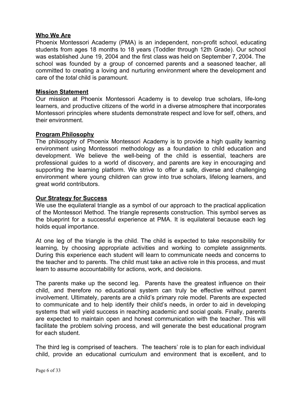#### **Who We Are**

Phoenix Montessori Academy (PMA) is an independent, non-profit school, educating students from ages 18 months to 18 years (Toddler through 12th Grade). Our school was established June 19, 2004 and the first class was held on September 7, 2004. The school was founded by a group of concerned parents and a seasoned teacher, all committed to creating a loving and nurturing environment where the development and care of the *total* child is paramount.

#### <span id="page-5-0"></span>**Mission Statement**

Our mission at Phoenix Montessori Academy is to develop true scholars, life-long learners, and productive citizens of the world in a diverse atmosphere that incorporates Montessori principles where students demonstrate respect and love for self, others, and their environment.

#### <span id="page-5-1"></span>**Program Philosophy**

The philosophy of Phoenix Montessori Academy is to provide a high quality learning environment using Montessori methodology as a foundation to child education and development. We believe the well-being of the child is essential, teachers are professional guides to a world of discovery, and parents are key in encouraging and supporting the learning platform. We strive to offer a safe, diverse and challenging environment where young children can grow into true scholars, lifelong learners, and great world contributors.

#### <span id="page-5-2"></span>**Our Strategy for Success**

We use the equilateral triangle as a symbol of our approach to the practical application of the Montessori Method. The triangle represents construction. This symbol serves as the blueprint for a successful experience at PMA. It is equilateral because each leg holds equal importance.

At one leg of the triangle is the child. The child is expected to take responsibility for learning, by choosing appropriate activities and working to complete assignments. During this experience each student will learn to communicate needs and concerns to the teacher and to parents. The child must take an active role in this process, and must learn to assume accountability for actions, work, and decisions.

The parents make up the second leg. Parents have the greatest influence on their child, and therefore no educational system can truly be effective without parent involvement. Ultimately, parents are a child's primary role model. Parents are expected to communicate and to help identify their child's needs, in order to aid in developing systems that will yield success in reaching academic and social goals. Finally, parents are expected to maintain open and honest communication with the teacher. This will facilitate the problem solving process, and will generate the best educational program for each student.

The third leg is comprised of teachers. The teachers' role is to plan for each individual child, provide an educational curriculum and environment that is excellent, and to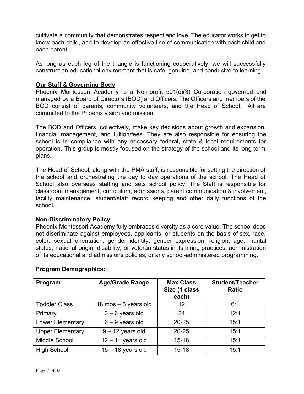cultivate a community that demonstrates respect and love. The educator works to get to know each child, and to develop an effective line of communication with each child and each parent.

As long as each leg of the triangle is functioning cooperatively, we will successfully construct an educational environment that is safe, genuine, and conducive to learning.

#### <span id="page-6-0"></span>**Our Staff & Governing Body**

Phoenix Montessori Academy is a Non-profit 501(c)(3) Corporation governed and managed by a Board of Directors (BOD) and Officers. The Officers and members of the BOD consist of parents, community volunteers, and the Head of School. All are committed to the Phoenix vision and mission.

The BOD and Officers, collectively, make key decisions about growth and expansion, financial management, and tuition/fees. They are also responsible for ensuring the school is in compliance with any necessary federal, state & local requirements for operation. This group is mostly focused on the strategy of the school and its long term plans.

The Head of School, along with the PMA staff, is responsible for setting the direction of the school and orchestrating the day to day operations of the school. The Head of School also oversees staffing and sets school policy. The Staff is responsible for classroom management, curriculum, admissions, parent communication & involvement, facility maintenance, student/staff record keeping and other daily functions of the school.

# <span id="page-6-1"></span>**Non-Discriminatory Policy**

Phoenix Montessori Academy fully embraces diversity as a core value. The school does not discriminate against employees, applicants, or students on the basis of sex, race, color, sexual orientation, gender identity, gender expression, religion, age, marital status, national origin, disability, or veteran status in its hiring practices, administration of its educational and admissions policies, or any school-administered programming.

| Program                 | <b>Age/Grade Range</b> | <b>Max Class</b><br>Size (1 class<br>each) | <b>Student/Teacher</b><br><b>Ratio</b> |
|-------------------------|------------------------|--------------------------------------------|----------------------------------------|
| <b>Toddler Class</b>    | 18 mos $-$ 3 years old | 12                                         | 6:1                                    |
| Primary                 | $3 - 6$ years old      | 24                                         | 12:1                                   |
| Lower Elementary        | $6 - 9$ years old      | $20 - 25$                                  | 15:1                                   |
| <b>Upper Elementary</b> | $9 - 12$ years old     | $20 - 25$                                  | 15:1                                   |
| Middle School           | $12 - 14$ years old    | $15 - 18$                                  | 15:1                                   |
| <b>High School</b>      | $15 - 18$ years old    | $15 - 18$                                  | 15:1                                   |

# <span id="page-6-2"></span>**Program Demographics:**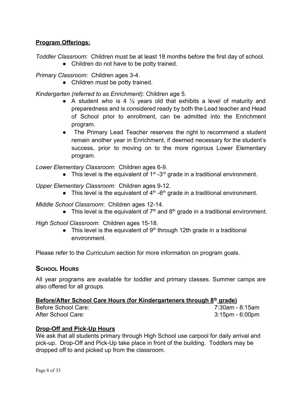# **Program Offerings:**

*Toddler Classroom*: Children must be at least 18 months before the first day of school.

• Children do not have to be potty trained.

*Primary Classroom:* Children ages 3-4.

• Children must be potty trained.

*Kindergarten (referred to as Enrichment):* Children age 5.

- A student who is 4  $\frac{1}{2}$  years old that exhibits a level of maturity and preparedness and is considered ready by both the Lead teacher and Head of School prior to enrollment, can be admitted into the Enrichment program.
- The Primary Lead Teacher reserves the right to recommend a student remain another year in Enrichment, if deemed necessary for the student's success, prior to moving on to the more rigorous Lower Elementary program.

*Lower Elementary Classroom*: Children ages 6-9.

• This level is the equivalent of  $1<sup>st</sup> - 3<sup>rd</sup>$  grade in a traditional environment.

*Upper Elementary Classroom:* Children ages 9-12.

• This level is the equivalent of  $4<sup>th</sup>$  -6<sup>th</sup> grade in a traditional environment.

*Middle School Classroom*: Children ages 12-14.

• This level is the equivalent of  $7<sup>th</sup>$  and  $8<sup>th</sup>$  grade in a traditional environment.

*High School Classroom*: Children ages 15-18.

• This level is the equivalent of  $9<sup>th</sup>$  through 12th grade in a traditional environment.

Please refer to the Curriculum section for more information on program goals.

# <span id="page-7-0"></span>**SCHOOL HOURS**

All year programs are available for toddler and primary classes. Summer camps are also offered for all groups.

# <span id="page-7-1"></span>**Before/After School Care Hours (for Kindergarteners through 8 th grade)**

Before School Care: 7:30am - 8:15am After School Care: 3:15pm - 6:00pm

# **Drop-Off and Pick-Up Hours**

We ask that all students primary through High School use carpool for daily arrival and pick-up. Drop-Off and Pick-Up take place in front of the building. Toddlers may be dropped off to and picked up from the classroom.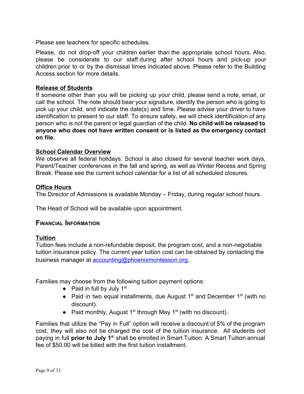Please see teachers for specific schedules.

Please, do not drop-off your children earlier than the appropriate school hours. Also, please be considerate to our staff during after school hours and pick-up your children prior to or by the dismissal times indicated above*.* Please refer to the Building Access section for more details.

#### <span id="page-8-0"></span>**Release of Students**

If someone other than you will be picking up your child, please send a note, email, or call the school. The note should bear your signature, identify the person who is going to pick up your child, and indicate the date(s) and time. Please advise your driver to have identification to present to our staff. To ensure safety, we will check identification of any person who is not the parent or legal guardian of the child. **No child will be released to anyone who does not have written consent or is listed as the emergency contact on file.**

#### <span id="page-8-1"></span>**School Calendar Overview**

We observe all federal holidays. School is also closed for several teacher work days, Parent/Teacher conferences in the fall and spring, as well as Winter Recess and Spring Break. Please see the current school calendar for a list of all scheduled closures.

#### <span id="page-8-2"></span>**Office Hours**

The Director of Admissions is available Monday – Friday, during regular school hours.

The Head of School will be available upon appointment.

#### <span id="page-8-3"></span>**FINANCIAL INFORMATION**

#### <span id="page-8-4"></span>**Tuition**

Tuition fees include a non-refundable deposit, the program cost, and a non-negotiable tuition insurance policy. The current year tuition cost can be obtained by contacting the business manager at [accounting@phoenixmontessori.org](mailto:accounting@phoenixmontessori.org).

Families may choose from the following tuition payment options:

- Paid in full by July  $1<sup>st</sup>$
- Paid in two equal installments, due August  $1<sup>st</sup>$  and December  $1<sup>st</sup>$  (with no discount).
- Paid monthly, August  $1<sup>st</sup>$  through May  $1<sup>st</sup>$  (with no discount).

Families that utilize the "Pay in Full" option will receive a discount of 5% of the program cost, they will also not be charged the cost of the tuition insurance. All students not paying in full **prior to July 1 <sup>s</sup>**<sup>t</sup> shall be enrolled in Smart Tuition. A Smart Tuition annual fee of \$50.00 will be billed with the first tuition installment.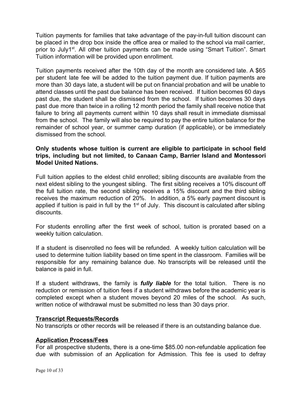Tuition payments for families that take advantage of the pay-in-full tuition discount can be placed in the drop box inside the office area or mailed to the school via mail carrier, prior to July1<sup>st</sup>. All other tuition payments can be made using "Smart Tuition". Smart Tuition information will be provided upon enrollment.

Tuition payments received after the 10th day of the month are considered late. A \$65 per student late fee will be added to the tuition payment due. If tuition payments are more than 30 days late, a student will be put on financial probation and will be unable to attend classes until the past due balance has been received. If tuition becomes 60 days past due, the student shall be dismissed from the school. If tuition becomes 30 days past due more than twice in a rolling 12 month period the family shall receive notice that failure to bring all payments current within 10 days shall result in immediate dismissal from the school. The family will also be required to pay the entire tuition balance for the remainder of school year, or summer camp duration (if applicable), or be immediately dismissed from the school.

#### **Only students whose tuition is current are eligible to participate in school field trips, including but not limited, to Canaan Camp, Barrier Island and Montessori Model United Nations.**

Full tuition applies to the eldest child enrolled; sibling discounts are available from the next eldest sibling to the youngest sibling. The first sibling receives a 10% discount off the full tuition rate, the second sibling receives a 15% discount and the third sibling receives the maximum reduction of 20%. In addition, a 5% early payment discount is applied if tuition is paid in full by the  $1<sup>st</sup>$  of July. This discount is calculated after sibling discounts.

For students enrolling after the first week of school, tuition is prorated based on a weekly tuition calculation.

If a student is disenrolled no fees will be refunded. A weekly tuition calculation will be used to determine tuition liability based on time spent in the classroom. Families will be responsible for any remaining balance due. No transcripts will be released until the balance is paid in full.

If a student withdraws, the family is *fully liable* for the total tuition. There is no reduction or remission of tuition fees if a student withdraws before the academic year is completed except when a student moves beyond 20 miles of the school. As such, written notice of withdrawal must be submitted no less than 30 days prior.

#### **Transcript Requests/Records**

No transcripts or other records will be released if there is an outstanding balance due.

#### <span id="page-9-0"></span>**Application Process/Fees**

For all prospective students, there is a one-time \$85.00 non-refundable application fee due with submission of an Application for Admission. This fee is used to defray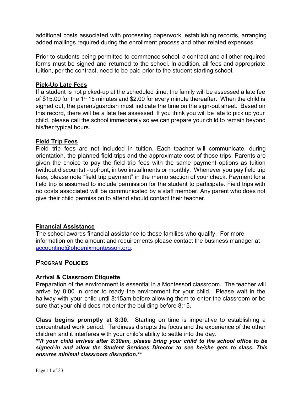additional costs associated with processing paperwork, establishing records, arranging added mailings required during the enrollment process and other related expenses.

Prior to students being permitted to commence school, a contract and all other required forms must be signed and returned to the school. In addition, all fees and appropriate tuition, per the contract, need to be paid prior to the student starting school.

#### <span id="page-10-0"></span>**Pick-Up Late Fees**

If a student is not picked-up at the scheduled time, the family will be assessed a late fee of \$15.00 for the 1<sup>st</sup> 15 minutes and \$2.00 for every minute thereafter. When the child is signed out, the parent/guardian must indicate the time on the sign-out sheet. Based on this record, there will be a late fee assessed. If you think you will be late to pick up your child, please call the school immediately so we can prepare your child to remain beyond his/her typical hours.

#### <span id="page-10-1"></span>**Field Trip Fees**

Field trip fees are not included in tuition. Each teacher will communicate, during orientation, the planned field trips and the approximate cost of those trips. Parents are given the choice to pay the field trip fees with the same payment options as tuition (without discounts) - upfront, in two installments or monthly. Whenever you pay field trip fees, please note "field trip payment" in the memo section of your check. Payment for a field trip is assumed to include permission for the student to participate. Field trips with no costs associated will be communicated by a staff member. Any parent who does not give their child permission to attend should contact their teacher.

# <span id="page-10-2"></span>**Financial Assistance**

The school awards financial assistance to those families who qualify. For more information on the amount and requirements please contact the business manager at [accounting@phoenixmontessori.org.](mailto:accounting@phoenixmontessori.org)

# <span id="page-10-3"></span>**PROGRAM POLICIES**

#### <span id="page-10-4"></span>**Arrival & Classroom Etiquette**

Preparation of the environment is essential in a Montessori classroom. The teacher will arrive by 8:00 in order to ready the environment for your child. Please wait in the hallway with your child until 8:15am before allowing them to enter the classroom or be sure that your child does not enter the building before 8:15.

**Class begins promptly at 8:30**. Starting on time is imperative to establishing a concentrated work period. Tardiness disrupts the focus and the experience of the other children and it interferes with your child's ability to settle into the day.

*\*\*If your child arrives after 8:30am, please bring your child to the school office to be signed-in and allow the Student Services Director to see he/she gets to class. This ensures minimal classroom disruption.\*\**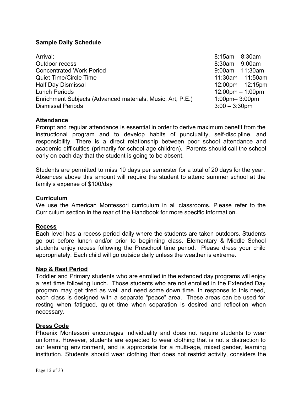#### <span id="page-11-0"></span>**Sample Daily Schedule**

| Arrival:                                                   |
|------------------------------------------------------------|
| Outdoor recess                                             |
| <b>Concentrated Work Period</b>                            |
| <b>Quiet Time/Circle Time</b>                              |
| <b>Half Day Dismissal</b>                                  |
| <b>Lunch Periods</b>                                       |
| Enrichment Subjects (Advanced materials, Music, Art, P.E.) |
| <b>Dismissal Periods</b>                                   |

 $8:15$ am –  $8:30$ am  $8:30$ am –  $9:00$ am  $9:00$ am – 11:30am  $11:30$ am – 11:50am  $12:00$ pm – 12:15pm  $12:00 \text{pm} - 1:00 \text{pm}$  $1:00$ pm–  $3:00$ pm  $3:00 - 3:30$ pm

#### <span id="page-11-1"></span>**Attendance**

Prompt and regular attendance is essential in order to derive maximum benefit from the instructional program and to develop habits of punctuality, self-discipline, and responsibility. There is a direct relationship between poor school attendance and academic difficulties (primarily for school-age children). Parents should call the school early on each day that the student is going to be absent.

Students are permitted to miss 10 days per semester for a total of 20 days for the year. Absences above this amount will require the student to attend summer school at the family's expense of \$100/day

#### <span id="page-11-2"></span>**Curriculum**

We use the American Montessori curriculum in all classrooms. Please refer to the Curriculum section in the rear of the Handbook for more specific information.

#### <span id="page-11-3"></span>**Recess**

Each level has a recess period daily where the students are taken outdoors. Students go out before lunch and/or prior to beginning class. Elementary & Middle School students enjoy recess following the Preschool time period. Please dress your child appropriately. Each child will go outside daily unless the weather is extreme.

#### <span id="page-11-4"></span>**Nap & Rest Period**

Toddler and Primary students who are enrolled in the extended day programs will enjoy a rest time following lunch. Those students who are not enrolled in the Extended Day program may get tired as well and need some down time. In response to this need, each class is designed with a separate "peace" area. These areas can be used for resting when fatigued, quiet time when separation is desired and reflection when necessary.

#### <span id="page-11-5"></span>**Dress Code**

Phoenix Montessori encourages individuality and does not require students to wear uniforms. However, students are expected to wear clothing that is not a distraction to our learning environment, and is appropriate for a multi-age, mixed gender, learning institution. Students should wear clothing that does not restrict activity, considers the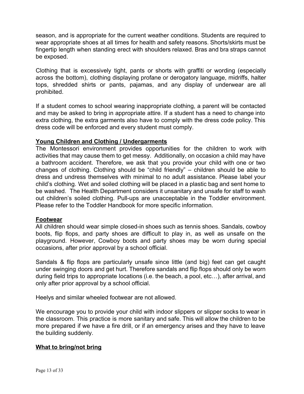season, and is appropriate for the current weather conditions. Students are required to wear appropriate shoes at all times for health and safety reasons. Shorts/skirts must be fingertip length when standing erect with shoulders relaxed. Bras and bra straps cannot be exposed.

Clothing that is excessively tight, pants or shorts with graffiti or wording (especially across the bottom), clothing displaying profane or derogatory language, midriffs, halter tops, shredded shirts or pants, pajamas, and any display of underwear are all prohibited.

If a student comes to school wearing inappropriate clothing, a parent will be contacted and may be asked to bring in appropriate attire. If a student has a need to change into extra clothing, the extra garments also have to comply with the dress code policy. This dress code will be enforced and every student must comply.

#### <span id="page-12-0"></span>**Young Children and Clothing / Undergarments**

The Montessori environment provides opportunities for the children to work with activities that may cause them to get messy. Additionally, on occasion a child may have a bathroom accident. Therefore, we ask that you provide your child with one or two changes of clothing. Clothing should be "child friendly" – children should be able to dress and undress themselves with minimal to no adult assistance. Please label your child's clothing. Wet and soiled clothing will be placed in a plastic bag and sent home to be washed. The Health Department considers it unsanitary and unsafe for staff to wash out children's soiled clothing. Pull-ups are unacceptable in the Toddler environment. Please refer to the Toddler Handbook for more specific information.

#### <span id="page-12-1"></span>**Footwear**

All children should wear simple closed-in shoes such as tennis shoes. Sandals, cowboy boots, flip flops, and party shoes are difficult to play in, as well as unsafe on the playground. However, Cowboy boots and party shoes may be worn during special occasions, after prior approval by a school official.

Sandals & flip flops are particularly unsafe since little (and big) feet can get caught under swinging doors and get hurt. Therefore sandals and flip flops should only be worn during field trips to appropriate locations (i.e. the beach, a pool, etc…), after arrival, and only after prior approval by a school official.

Heelys and similar wheeled footwear are not allowed.

We encourage you to provide your child with indoor slippers or slipper socks to wear in the classroom. This practice is more sanitary and safe. This will allow the children to be more prepared if we have a fire drill, or if an emergency arises and they have to leave the building suddenly.

#### <span id="page-12-2"></span>**What to bring/not bring**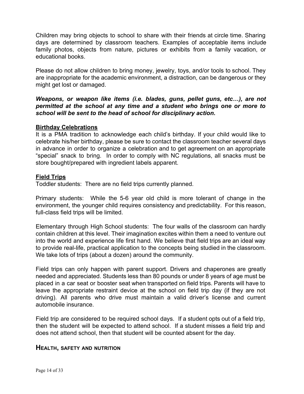Children may bring objects to school to share with their friends at circle time. Sharing days are determined by classroom teachers. Examples of acceptable items include family photos, objects from nature, pictures or exhibits from a family vacation, or educational books.

Please do not allow children to bring money, jewelry, toys, and/or tools to school. They are inappropriate for the academic environment, a distraction, can be dangerous or they might get lost or damaged.

#### *Weapons, or weapon like items (i.e. blades, guns, pellet guns, etc…), are not permitted at the school at any time and a student who brings one or more to school will be sent to the head of school for disciplinary action.*

#### <span id="page-13-0"></span>**Birthday Celebrations**

It is a PMA tradition to acknowledge each child's birthday. If your child would like to celebrate his/her birthday, please be sure to contact the classroom teacher several days in advance in order to organize a celebration and to get agreement on an appropriate "special" snack to bring. In order to comply with NC regulations, all snacks must be store bought/prepared with ingredient labels apparent.

#### <span id="page-13-1"></span>**Field Trips**

Toddler students: There are no field trips currently planned.

Primary students: While the 5-6 year old child is more tolerant of change in the environment, the younger child requires consistency and predictability. For this reason, full-class field trips will be limited.

Elementary through High School students: The four walls of the classroom can hardly contain children at this level. Their imagination excites within them a need to venture out into the world and experience life first hand. We believe that field trips are an ideal way to provide real-life, practical application to the concepts being studied in the classroom. We take lots of trips (about a dozen) around the community.

Field trips can only happen with parent support. Drivers and chaperones are greatly needed and appreciated. Students less than 80 pounds or under 8 years of age must be placed in a car seat or booster seat when transported on field trips. Parents will have to leave the appropriate restraint device at the school on field trip day (if they are not driving). All parents who drive must maintain a valid driver's license and current automobile insurance.

Field trip are considered to be required school days. If a student opts out of a field trip, then the student will be expected to attend school. If a student misses a field trip and does not attend school, then that student will be counted absent for the day.

#### <span id="page-13-2"></span>**HEALTH, SAFETY AND NUTRITION**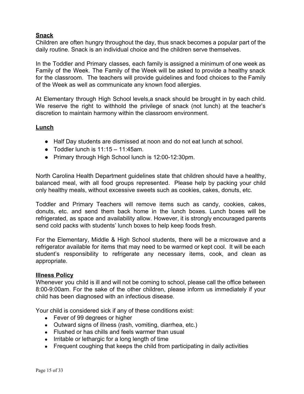#### <span id="page-14-0"></span>**Snack**

Children are often hungry throughout the day, thus snack becomes a popular part of the daily routine. Snack is an individual choice and the children serve themselves.

In the Toddler and Primary classes, each family is assigned a minimum of one week as Family of the Week. The Family of the Week will be asked to provide a healthy snack for the classroom. The teachers will provide guidelines and food choices to the Family of the Week as well as communicate any known food allergies.

At Elementary through High School levels,a snack should be brought in by each child. We reserve the right to withhold the privilege of snack (not lunch) at the teacher's discretion to maintain harmony within the classroom environment.

#### <span id="page-14-1"></span>**Lunch**

- Half Day students are dismissed at noon and do not eat lunch at school.
- Toddler lunch is  $11:15 11:45$ am.
- Primary through High School lunch is 12:00-12:30pm.

North Carolina Health Department guidelines state that children should have a healthy, balanced meal, with all food groups represented. Please help by packing your child only healthy meals, without excessive sweets such as cookies, cakes, donuts, etc.

Toddler and Primary Teachers will remove items such as candy, cookies, cakes, donuts, etc. and send them back home in the lunch boxes. Lunch boxes will be refrigerated, as space and availability allow. However, it is strongly encouraged parents send cold packs with students' lunch boxes to help keep foods fresh.

For the Elementary, Middle & High School students, there will be a microwave and a refrigerator available for items that may need to be warmed or kept cool. It will be each student's responsibility to refrigerate any necessary items, cook, and clean as appropriate.

#### <span id="page-14-2"></span>**Illness Policy**

Whenever you child is ill and will not be coming to school, please call the office between 8:00-9:00am. For the sake of the other children, please inform us immediately if your child has been diagnosed with an infectious disease.

Your child is considered sick if any of these conditions exist:

- Fever of 99 degrees or higher
- Outward signs of illness (rash, vomiting, diarrhea, etc.)
- Flushed or has chills and feels warmer than usual
- Irritable or lethargic for a long length of time
- Frequent coughing that keeps the child from participating in daily activities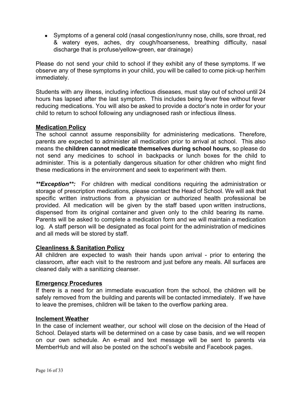• Symptoms of a general cold (nasal congestion/runny nose, chills, sore throat, red & watery eyes, aches, dry cough/hoarseness, breathing difficulty, nasal discharge that is profuse/yellow-green, ear drainage)

Please do not send your child to school if they exhibit any of these symptoms. If we observe any of these symptoms in your child, you will be called to come pick-up her/him immediately.

Students with any illness, including infectious diseases, must stay out of school until 24 hours has lapsed after the last symptom. This includes being fever free without fever reducing medications. You will also be asked to provide a doctor's note in order for your child to return to school following any undiagnosed rash or infectious illness.

#### <span id="page-15-0"></span>**Medication Policy**

The school cannot assume responsibility for administering medications. Therefore, parents are expected to administer all medication prior to arrival at school. This also means the **children cannot medicate themselves during school hours**, so please do not send any medicines to school in backpacks or lunch boxes for the child to administer. This is a potentially dangerous situation for other children who might find these medications in the environment and seek to experiment with them.

*\*\*Exception\*\*:* For children with medical conditions requiring the administration or storage of prescription medications, please contact the Head of School. We will ask that specific written instructions from a physician or authorized health professional be provided. All medication will be given by the staff based upon written instructions, dispensed from its original container and given only to the child bearing its name. Parents will be asked to complete a medication form and we will maintain a medication log. A staff person will be designated as focal point for the administration of medicines and all meds will be stored by staff.

#### <span id="page-15-1"></span>**Cleanliness & Sanitation Policy**

All children are expected to wash their hands upon arrival - prior to entering the classroom, after each visit to the restroom and just before any meals. All surfaces are cleaned daily with a sanitizing cleanser.

#### <span id="page-15-2"></span>**Emergency Procedures**

If there is a need for an immediate evacuation from the school, the children will be safely removed from the building and parents will be contacted immediately. If we have to leave the premises, children will be taken to the overflow parking area.

#### <span id="page-15-3"></span>**Inclement Weather**

In the case of inclement weather, our school will close on the decision of the Head of School. Delayed starts will be determined on a case by case basis, and we will reopen on our own schedule. An e-mail and text message will be sent to parents via MemberHub and will also be posted on the school's website and Facebook pages.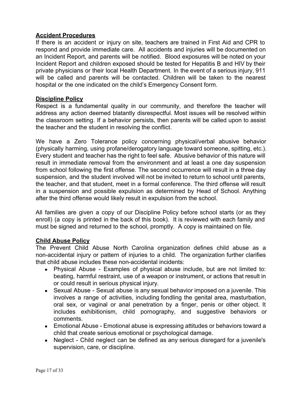#### <span id="page-16-0"></span>**Accident Procedures**

If there is an accident or injury on site, teachers are trained in First Aid and CPR to respond and provide immediate care. All accidents and injuries will be documented on an Incident Report, and parents will be notified. Blood exposures will be noted on your Incident Report and children exposed should be tested for Hepatitis B and HIV by their private physicians or their local Health Department. In the event of a serious injury, 911 will be called and parents will be contacted. Children will be taken to the nearest hospital or the one indicated on the child's Emergency Consent form.

#### <span id="page-16-1"></span>**Discipline Policy**

Respect is a fundamental quality in our community, and therefore the teacher will address any action deemed blatantly disrespectful. Most issues will be resolved within the classroom setting. If a behavior persists, then parents will be called upon to assist the teacher and the student in resolving the conflict.

We have a Zero Tolerance policy concerning physical/verbal abusive behavior (physically harming, using profane/derogatory language toward someone, spitting, etc.). Every student and teacher has the right to feel safe. Abusive behavior of this nature will result in immediate removal from the environment and at least a one day suspension from school following the first offense. The second occurrence will result in a three day suspension, and the student involved will not be invited to return to school until parents, the teacher, and that student, meet in a formal conference. The third offense will result in a suspension and possible expulsion as determined by Head of School. Anything after the third offense would likely result in expulsion from the school.

All families are given a copy of our Discipline Policy before school starts (or as they enroll) (a copy is printed in the back of this book). It is reviewed with each family and must be signed and returned to the school, promptly. A copy is maintained on file.

#### <span id="page-16-2"></span>**Child Abuse Policy**

The Prevent Child Abuse North Carolina organization defines child abuse as a non-accidental injury or pattern of injuries to a child. The organization further clarifies that child abuse includes these non-accidental incidents:

- Physical Abuse Examples of physical abuse include, but are not limited to: beating, harmful restraint, use of a weapon or instrument, or actions that result in or could result in serious physical injury.
- Sexual Abuse Sexual abuse is any sexual behavior imposed on a juvenile. This involves a range of activities, including fondling the genital area, masturbation, oral sex, or vaginal or anal penetration by a finger, penis or other object. It includes exhibitionism, child pornography, and suggestive behaviors or comments.
- Emotional Abuse Emotional abuse is expressing attitudes or behaviors toward a child that create serious emotional or psychological damage.
- Neglect Child neglect can be defined as any serious disregard for a juvenile's supervision, care, or discipline.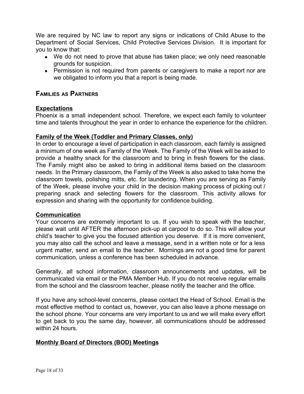We are required by NC law to report any signs or indications of Child Abuse to the Department of Social Services, Child Protective Services Division. It is important for you to know that:

- We do not need to prove that abuse has taken place; we only need reasonable grounds for suspicion.
- Permission is not required from parents or caregivers to make a report nor are we obligated to inform you that a report is being made.

# <span id="page-17-0"></span>**FAMILIES AS PARTNERS**

#### <span id="page-17-1"></span>**Expectations**

Phoenix is a small independent school. Therefore, we expect each family to volunteer time and talents throughout the year in order to enhance the experience for the children.

#### <span id="page-17-2"></span>**Family of the Week (Toddler and Primary Classes, only)**

In order to encourage a level of participation in each classroom, each family is assigned a minimum of one week as Family of the Week. The Family of the Week will be asked to provide a healthy snack for the classroom and to bring in fresh flowers for the class. The Family might also be asked to bring in additional items based on the classroom needs. In the Primary classroom, the Family of the Week is also asked to take home the classroom towels, polishing mitts, etc. for laundering. When you are serving as Family of the Week, please involve your child in the decision making process of picking out / preparing snack and selecting flowers for the classroom. This activity allows for expression and sharing with the opportunity for confidence building.

#### <span id="page-17-3"></span>**Communication**

Your concerns are extremely important to us. If you wish to speak with the teacher, please wait until AFTER the afternoon pick-up at carpool to do so. This will allow your child's teacher to give you the focused attention you deserve. If it is more convenient, you may also call the school and leave a message, send in a written note or for a less urgent matter, send an email to the teacher. Mornings are not a good time for parent communication, unless a conference has been scheduled in advance.

Generally, all school information, classroom announcements and updates, will be communicated via email or the PMA Member Hub. If you do not receive regular emails from the school and the classroom teacher, please notify the teacher and the office.

If you have any school-level concerns, please contact the Head of School. Email is the most effective method to contact us, however, you can also leave a phone message on the school phone. Your concerns are very important to us and we will make every effort to get back to you the same day, however, all communications should be addressed within 24 hours.

#### <span id="page-17-4"></span>**Monthly Board of Directors (BOD) Meetings**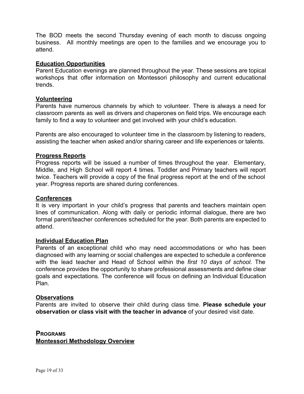The BOD meets the second Thursday evening of each month to discuss ongoing business. All monthly meetings are open to the families and we encourage you to attend.

#### <span id="page-18-0"></span>**Education Opportunities**

Parent Education evenings are planned throughout the year. These sessions are topical workshops that offer information on Montessori philosophy and current educational trends.

#### **Volunteering**

Parents have numerous channels by which to volunteer. There is always a need for classroom parents as well as drivers and chaperones on field trips. We encourage each family to find a way to volunteer and get involved with your child's education.

Parents are also encouraged to volunteer time in the classroom by listening to readers, assisting the teacher when asked and/or sharing career and life experiences or talents.

#### <span id="page-18-1"></span>**Progress Reports**

Progress reports will be issued a number of times throughout the year. Elementary, Middle, and High School will report 4 times. Toddler and Primary teachers will report twice. Teachers will provide a copy of the final progress report at the end of the school year. Progress reports are shared during conferences.

#### <span id="page-18-2"></span>**Conferences**

It is very important in your child's progress that parents and teachers maintain open lines of communication. Along with daily or periodic informal dialogue, there are two formal parent/teacher conferences scheduled for the year. Both parents are expected to attend.

#### <span id="page-18-3"></span>**Individual Education Plan**

Parents of an exceptional child who may need accommodations or who has been diagnosed with any learning or social challenges are expected to schedule a conference with the lead teacher and Head of School within the *first 10 days of school*. The conference provides the opportunity to share professional assessments and define clear goals and expectations. The conference will focus on defining an Individual Education Plan.

#### <span id="page-18-4"></span>**Observations**

Parents are invited to observe their child during class time. **Please schedule your observation or class visit with the teacher in advance** of your desired visit date.

<span id="page-18-6"></span><span id="page-18-5"></span>**PROGRAMS Montessori Methodology Overview**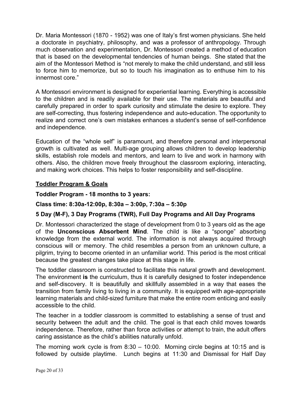Dr. Maria Montessori (1870 - 1952) was one of Italy's first women physicians. She held a doctorate in psychiatry, philosophy, and was a professor of anthropology. Through much observation and experimentation, Dr. Montessori created a method of education that is based on the developmental tendencies of human beings. She stated that the aim of the Montessori Method is "not merely to make the child understand, and still less to force him to memorize, but so to touch his imagination as to enthuse him to his innermost core."

A Montessori environment is designed for experiential learning. Everything is accessible to the children and is readily available for their use. The materials are beautiful and carefully prepared in order to spark curiosity and stimulate the desire to explore. They are self-correcting, thus fostering independence and auto-education. The opportunity to realize and correct one's own mistakes enhances a student's sense of self-confidence and independence.

Education of the "whole self" is paramount, and therefore personal and interpersonal growth is cultivated as well. Multi-age grouping allows children to develop leadership skills, establish role models and mentors, and learn to live and work in harmony with others. Also, the children move freely throughout the classroom exploring, interacting, and making work choices. This helps to foster responsibility and self-discipline.

#### <span id="page-19-0"></span>**Toddler Program & Goals**

#### **Toddler Program - 18 months to 3 years:**

#### **Class time: 8:30a-12:00p, 8:30a – 3:00p, 7:30a – 5:30p**

# **5 Day (M-F), 3 Day Programs (TWR), Full Day Programs and All Day Programs**

Dr. Montessori characterized the stage of development from 0 to 3 years old as the age of the **Unconscious Absorbent Mind**. The child is like a "sponge" absorbing knowledge from the external world. The information is not always acquired through conscious will or memory. The child resembles a person from an unknown culture, a pilgrim, trying to become oriented in an unfamiliar world. This period is the most critical because the greatest changes take place at this stage in life.

The toddler classroom is constructed to facilitate this natural growth and development. The environment **is** the curriculum, thus it is carefully designed to foster independence and self-discovery. It is beautifully and skillfully assembled in a way that eases the transition from family living to living in a community. It is equipped with age-appropriate learning materials and child-sized furniture that make the entire room enticing and easily accessible to the child.

The teacher in a toddler classroom is committed to establishing a sense of trust and security between the adult and the child. The goal is that each child moves towards independence. Therefore, rather than force activities or attempt to train, the adult offers caring assistance as the child's abilities naturally unfold.

The morning work cycle is from 8:30 – 10:00. Morning circle begins at 10:15 and is followed by outside playtime. Lunch begins at 11:30 and Dismissal for Half Day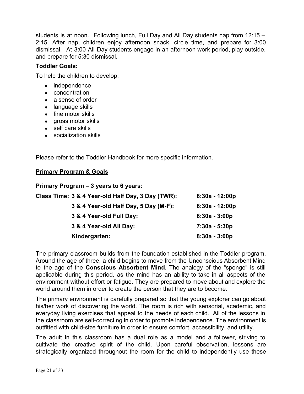students is at noon. Following lunch, Full Day and All Day students nap from 12:15 – 2:15. After nap, children enjoy afternoon snack, circle time, and prepare for 3:00 dismissal. At 3:00 All Day students engage in an afternoon work period, play outside, and prepare for 5:30 dismissal.

#### **Toddler Goals:**

To help the children to develop:

- independence
- concentration
- a sense of order
- language skills
- fine motor skills
- gross motor skills
- self care skills
- socialization skills

Please refer to the Toddler Handbook for more specific information.

#### <span id="page-20-0"></span>**Primary Program & Goals**

| Primary Program - 3 years to 6 years:             |                  |
|---------------------------------------------------|------------------|
| Class Time: 3 & 4 Year-old Half Day, 3 Day (TWR): | $8:30a - 12:00p$ |
| 3 & 4 Year-old Half Day, 5 Day (M-F):             | $8:30a - 12:00p$ |
| 3 & 4 Year-old Full Day:                          | $8:30a - 3:00p$  |
| 3 & 4 Year-old All Day:                           | $7:30a - 5:30p$  |
| Kindergarten:                                     | $8:30a - 3:00p$  |

The primary classroom builds from the foundation established in the Toddler program. Around the age of three, a child begins to move from the Unconscious Absorbent Mind to the age of the **Conscious Absorbent Mind.** The analogy of the "sponge" is still applicable during this period, as the mind has an ability to take in all aspects of the environment without effort or fatigue. They are prepared to move about and explore the world around them in order to create the person that they are to become.

The primary environment is carefully prepared so that the young explorer can go about his/her work of discovering the world. The room is rich with sensorial, academic, and everyday living exercises that appeal to the needs of each child. All of the lessons in the classroom are self-correcting in order to promote independence. The environment is outfitted with child-size furniture in order to ensure comfort, accessibility, and utility.

The adult in this classroom has a dual role as a model and a follower, striving to cultivate the creative spirit of the child. Upon careful observation, lessons are strategically organized throughout the room for the child to independently use these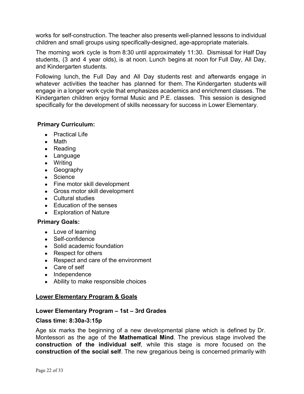works for self-construction. The teacher also presents well-planned lessons to individual children and small groups using specifically-designed, age-appropriate materials.

The morning work cycle is from 8:30 until approximately 11:30. Dismissal for Half Day students, (3 and 4 year olds), is at noon. Lunch begins at noon for Full Day, All Day, and Kindergarten students.

Following lunch, the Full Day and All Day students rest and afterwards engage in whatever activities the teacher has planned for them. The Kindergarten students will engage in a longer work cycle that emphasizes academics and enrichment classes. The Kindergarten children enjoy formal Music and P.E. classes. This session is designed specifically for the development of skills necessary for success in Lower Elementary.

#### **Primary Curriculum:**

- Practical Life
- Math
- Reading
- Language
- Writing
- Geography
- Science
- Fine motor skill development
- Gross motor skill development
- Cultural studies
- Education of the senses
- Exploration of Nature

#### **Primary Goals:**

- Love of learning
- Self-confidence
- Solid academic foundation
- Respect for others
- Respect and care of the environment
- Care of self
- Independence
- Ability to make responsible choices

#### <span id="page-21-0"></span>**Lower Elementary Program & Goals**

#### **Lower Elementary Program – 1st – 3rd Grades**

#### **Class time: 8:30a-3:15p**

Age six marks the beginning of a new developmental plane which is defined by Dr. Montessori as the age of the **Mathematical Mind**. The previous stage involved the **construction of the individual self**, while this stage is more focused on the **construction of the social self**. The new gregarious being is concerned primarily with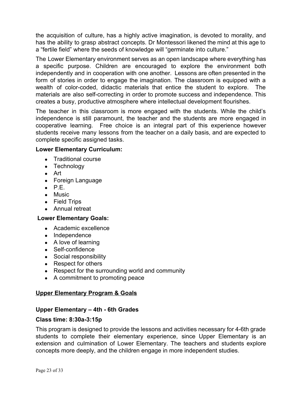the acquisition of culture, has a highly active imagination, is devoted to morality, and has the ability to grasp abstract concepts. Dr Montessori likened the mind at this age to a "fertile field" where the seeds of knowledge will "germinate into culture."

The Lower Elementary environment serves as an open landscape where everything has a specific purpose. Children are encouraged to explore the environment both independently and in cooperation with one another. Lessons are often presented in the form of stories in order to engage the imagination. The classroom is equipped with a wealth of color-coded, didactic materials that entice the student to explore. The materials are also self-correcting in order to promote success and independence. This creates a busy, productive atmosphere where intellectual development flourishes.

The teacher in this classroom is more engaged with the students. While the child's independence is still paramount, the teacher and the students are more engaged in cooperative learning. Free choice is an integral part of this experience however students receive many lessons from the teacher on a daily basis, and are expected to complete specific assigned tasks.

#### **Lower Elementary Curriculum:**

- **Traditional course**
- Technology
- Art
- Foreign Language
- $\bullet$  P.E.
- Music
- Field Trips
- Annual retreat

#### **Lower Elementary Goals:**

- Academic excellence
- Independence
- A love of learning
- Self-confidence
- Social responsibility
- Respect for others
- Respect for the surrounding world and community
- A commitment to promoting peace

#### <span id="page-22-0"></span>**Upper Elementary Program & Goals**

#### **Upper Elementary – 4th - 6th Grades**

#### **Class time: 8:30a-3:15p**

This program is designed to provide the lessons and activities necessary for 4-6th grade students to complete their elementary experience, since Upper Elementary is an extension and culmination of Lower Elementary. The teachers and students explore concepts more deeply, and the children engage in more independent studies.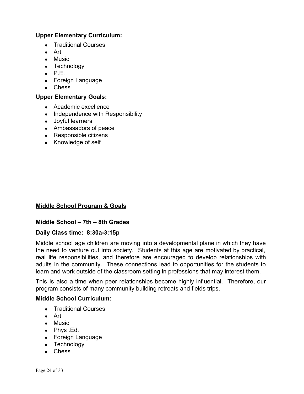#### **Upper Elementary Curriculum:**

- Traditional Courses
- Art
- Music
- Technology
- $\bullet$  P.E.
- Foreign Language
- Chess

#### **Upper Elementary Goals:**

- Academic excellence
- Independence with Responsibility
- Joyful learners
- Ambassadors of peace
- Responsible citizens
- Knowledge of self

#### <span id="page-23-0"></span>**Middle School Program & Goals**

#### **Middle School – 7th – 8th Grades**

#### **Daily Class time: 8:30a-3:15p**

Middle school age children are moving into a developmental plane in which they have the need to venture out into society. Students at this age are motivated by practical, real life responsibilities, and therefore are encouraged to develop relationships with adults in the community. These connections lead to opportunities for the students to learn and work outside of the classroom setting in professions that may interest them.

This is also a time when peer relationships become highly influential. Therefore, our program consists of many community building retreats and fields trips.

#### **Middle School Curriculum:**

- Traditional Courses
- Art
- Music
- Phys .Ed.
- Foreign Language
- Technology
- Chess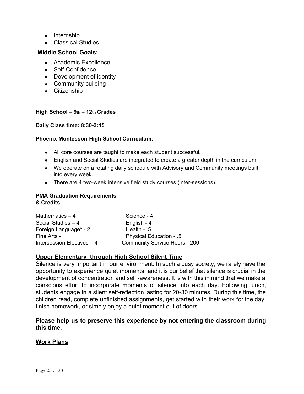- Internship
- Classical Studies

#### **Middle School Goals:**

- Academic Excellence
- Self-Confidence
- Development of identity
- Community building
- Citizenship

#### **High School – 9th – 12th Grades**

#### **Daily Class time: 8:30-3:15**

#### **Phoenix Montessori High School Curriculum:**

- All core courses are taught to make each student successful.
- English and Social Studies are integrated to create a greater depth in the curriculum.
- We operate on a rotating daily schedule with Advisory and Community meetings built into every week.
- There are 4 two-week intensive field study courses (inter-sessions).

#### **PMA Graduation Requirements & Credits**

| Mathematics $-4$           | Science - 4                          |
|----------------------------|--------------------------------------|
| Social Studies $-4$        | English - 4                          |
| Foreign Language* - 2      | Health - $.5$                        |
| Fine Arts - 1              | <b>Physical Education - .5</b>       |
| Intersession Electives - 4 | <b>Community Service Hours - 200</b> |

#### <span id="page-24-0"></span>**Upper Elementary through High School Silent Time**

Silence is very important in our environment. In such a busy society, we rarely have the opportunity to experience quiet moments, and it is our belief that silence is crucial in the development of concentration and self -awareness. It is with this in mind that we make a conscious effort to incorporate moments of silence into each day. Following lunch, students engage in a silent self-reflection lasting for 20-30 minutes. During this time, the children read, complete unfinished assignments, get started with their work for the day, finish homework, or simply enjoy a quiet moment out of doors.

#### **Please help us to preserve this experience by not entering the classroom during this time.**

#### <span id="page-24-1"></span>**Work Plans**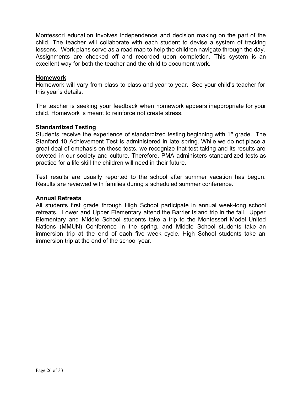Montessori education involves independence and decision making on the part of the child. The teacher will collaborate with each student to devise a system of tracking lessons. Work plans serve as a road map to help the children navigate through the day. Assignments are checked off and recorded upon completion. This system is an excellent way for both the teacher and the child to document work.

#### <span id="page-25-0"></span>**Homework**

Homework will vary from class to class and year to year. See your child's teacher for this year's details.

The teacher is seeking your feedback when homework appears inappropriate for your child. Homework is meant to reinforce not create stress.

#### <span id="page-25-1"></span>**Standardized Testing**

Students receive the experience of standardized testing beginning with 1<sup>st</sup> grade. The Stanford 10 Achievement Test is administered in late spring. While we do not place a great deal of emphasis on these tests, we recognize that test-taking and its results are coveted in our society and culture. Therefore, PMA administers standardized tests as practice for a life skill the children will need in their future.

Test results are usually reported to the school after summer vacation has begun. Results are reviewed with families during a scheduled summer conference.

#### <span id="page-25-2"></span>**Annual Retreats**

<span id="page-25-3"></span>All students first grade through High School participate in annual week-long school retreats. Lower and Upper Elementary attend the Barrier Island trip in the fall. Upper Elementary and Middle School students take a trip to the Montessori Model United Nations (MMUN) Conference in the spring, and Middle School students take an immersion trip at the end of each five week cycle. High School students take an immersion trip at the end of the school year.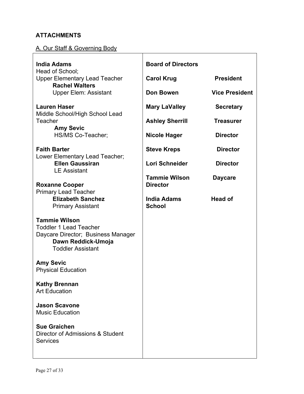# **ATTACHMENTS**

# <span id="page-26-0"></span>A. Our Staff & Governing Body

| <b>India Adams</b>                                                                                                                            | <b>Board of Directors</b>               |                       |
|-----------------------------------------------------------------------------------------------------------------------------------------------|-----------------------------------------|-----------------------|
| Head of School;<br><b>Upper Elementary Lead Teacher</b>                                                                                       | <b>Carol Krug</b>                       | <b>President</b>      |
| <b>Rachel Walters</b><br><b>Upper Elem: Assistant</b>                                                                                         | Don Bowen                               | <b>Vice President</b> |
| <b>Lauren Haser</b><br>Middle School/High School Lead                                                                                         | <b>Mary LaValley</b>                    | <b>Secretary</b>      |
| Teacher<br><b>Amy Sevic</b>                                                                                                                   | <b>Ashley Sherrill</b>                  | <b>Treasurer</b>      |
| HS/MS Co-Teacher;                                                                                                                             | <b>Nicole Hager</b>                     | <b>Director</b>       |
| <b>Faith Barter</b><br>Lower Elementary Lead Teacher;                                                                                         | <b>Steve Kreps</b>                      | <b>Director</b>       |
| <b>Ellen Gaussiran</b><br><b>LE Assistant</b>                                                                                                 | Lori Schneider                          | <b>Director</b>       |
| <b>Roxanne Cooper</b>                                                                                                                         | <b>Tammie Wilson</b><br><b>Director</b> | <b>Daycare</b>        |
| <b>Primary Lead Teacher</b><br><b>Elizabeth Sanchez</b><br><b>Primary Assistant</b>                                                           | <b>India Adams</b><br><b>School</b>     | Head of               |
| <b>Tammie Wilson</b><br><b>Toddler 1 Lead Teacher</b><br>Daycare Director; Business Manager<br>Dawn Reddick-Umoja<br><b>Toddler Assistant</b> |                                         |                       |
| <b>Amy Sevic</b><br><b>Physical Education</b>                                                                                                 |                                         |                       |
| <b>Kathy Brennan</b><br><b>Art Education</b>                                                                                                  |                                         |                       |
| <b>Jason Scavone</b><br><b>Music Education</b>                                                                                                |                                         |                       |
| <b>Sue Graichen</b><br>Director of Admissions & Student<br><b>Services</b>                                                                    |                                         |                       |
|                                                                                                                                               |                                         |                       |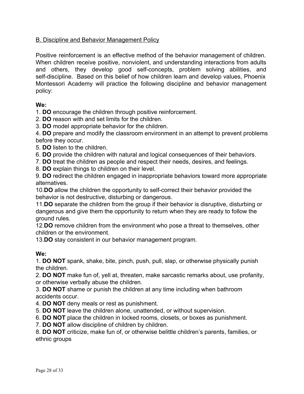#### <span id="page-27-0"></span>B. Discipline and Behavior Management Policy

Positive reinforcement is an effective method of the behavior management of children. When children receive positive, nonviolent, and understanding interactions from adults and others, they develop good self-concepts, problem solving abilities, and self-discipline. Based on this belief of how children learn and develop values, Phoenix Montessori Academy will practice the following discipline and behavior management policy:

#### **We:**

1. **DO** encourage the children through positive reinforcement.

2. **DO** reason with and set limits for the children.

3. **DO** model appropriate behavior for the children.

4. **DO** prepare and modify the classroom environment in an attempt to prevent problems before they occur.

5. **DO** listen to the children.

6. **DO** provide the children with natural and logical consequences of their behaviors.

7. **DO** treat the children as people and respect their needs, desires, and feelings.

8. **DO** explain things to children on their level.

9. **DO** redirect the children engaged in inappropriate behaviors toward more appropriate alternatives.

10.**DO** allow the children the opportunity to self-correct their behavior provided the behavior is not destructive, disturbing or dangerous.

11.**DO** separate the children from the group if their behavior is disruptive, disturbing or dangerous and give them the opportunity to return when they are ready to follow the ground rules.

12.**DO** remove children from the environment who pose a threat to themselves, other children or the environment.

13.**DO** stay consistent in our behavior management program.

# **We:**

1. **DO NOT** spank, shake, bite, pinch, push, pull, slap, or otherwise physically punish the children.

2. **DO NOT** make fun of, yell at, threaten, make sarcastic remarks about, use profanity, or otherwise verbally abuse the children.

3. **DO NOT** shame or punish the children at any time including when bathroom accidents occur.

- 4. **DO NOT** deny meals or rest as punishment.
- 5. **DO NOT** leave the children alone, unattended, or without supervision.
- 6. **DO NOT** place the children in locked rooms, closets, or boxes as punishment.
- 7. **DO NOT** allow discipline of children by children.

8. **DO NOT** criticize, make fun of, or otherwise belittle children's parents, families, or ethnic groups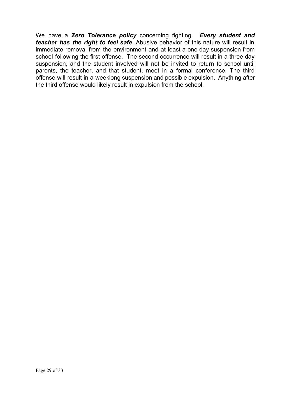We have a *Zero Tolerance policy* concerning fighting. *Every student and teacher has the right to feel safe*. Abusive behavior of this nature will result in immediate removal from the environment and at least a one day suspension from school following the first offense. The second occurrence will result in a three day suspension, and the student involved will not be invited to return to school until parents, the teacher, and that student, meet in a formal conference. The third offense will result in a weeklong suspension and possible expulsion. Anything after the third offense would likely result in expulsion from the school.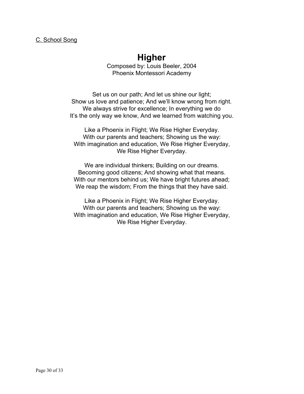# **Higher**

Composed by: Louis Beeler, 2004 Phoenix Montessori Academy

<span id="page-29-0"></span>Set us on our path; And let us shine our light; Show us love and patience; And we'll know wrong from right. We always strive for excellence; In everything we do It's the only way we know, And we learned from watching you.

Like a Phoenix in Flight; We Rise Higher Everyday. With our parents and teachers; Showing us the way: With imagination and education, We Rise Higher Everyday, We Rise Higher Everyday.

We are individual thinkers; Building on our dreams. Becoming good citizens; And showing what that means. With our mentors behind us; We have bright futures ahead; We reap the wisdom; From the things that they have said.

Like a Phoenix in Flight; We Rise Higher Everyday. With our parents and teachers; Showing us the way: With imagination and education, We Rise Higher Everyday, We Rise Higher Everyday.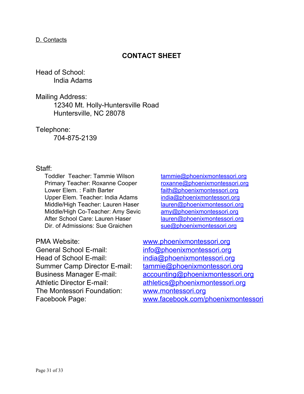#### <span id="page-30-0"></span>D. Contacts

# **CONTACT SHEET**

# Head of School: India Adams

Mailing Address:

12340 Mt. Holly-Huntersville Road Huntersville, NC 28078

Telephone:

704-875-2139

# Staff:

Toddler Teacher: Tammie Wilson [tammie@phoenixmontessori.org](mailto:tammie@phoenixmontessori.org) Primary Teacher: Roxanne Cooper [roxanne@phoenixmontessori.org](mailto:roxanne@phoenixmontessori.org) Lower Elem.: Faith Barter **Faith and Contact the State of Australian** faith @phoenixmontessori.org Upper Elem. Teacher: India Adams [india@phoenixmontessori.org](mailto:india@phoenixmontessori.org) Middle/High Teacher: Lauren Haser [lauren@phoenixmontessori.org](mailto:lauren@phoenixmontessori.org) Middle/High Co-Teacher: Amy Sevic [amy@phoenixmontessori.org](mailto:amy@phoenixmontessori.org) After School Care: Lauren Haser [lauren@phoenixmontessori.org](mailto:lauren@phoenixmontessori.org) Dir. of Admissions: Sue Graichen [sue@phoenixmontessori.org](mailto:sue@phoenixmontessori.org)

General School E-mail: [info@phoenixmontessori.org](mailto:info@phoenixmontessori.org) Head of School E-mail: [india@phoenixmontessori.org](mailto:india@phoenixmontessori.org) The Montessori Foundation: [www.montessori.org](http://www.montessori.org/)

PMA Website: [www.phoenixmontessori.org](http://www.phoenixmontessori.org/) Summer Camp Director E-mail: [tammie@phoenixmontessori.org](mailto:tammie@phoenixmontessori.org) Business Manager E-mail: [accounting@phoenixmontessori.org](mailto:accounting@phoenixmontessori.org) Athletic Director E-mail: [athletics@phoenixmontessori.org](mailto:athletics@phoenixmontessori.org) Facebook Page: [www.facebook.com/phoenixmontessori](http://www.facebook.com/phoenixmontessori)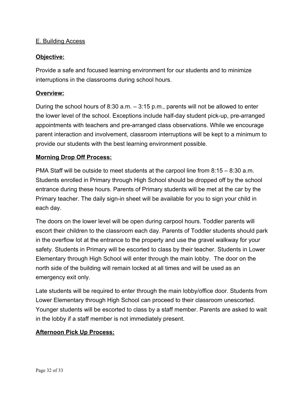# <span id="page-31-0"></span>E. Building Access

#### **Objective:**

Provide a safe and focused learning environment for our students and to minimize interruptions in the classrooms during school hours.

#### **Overview:**

During the school hours of 8:30 a.m. – 3:15 p.m., parents will not be allowed to enter the lower level of the school. Exceptions include half-day student pick-up, pre-arranged appointments with teachers and pre-arranged class observations. While we encourage parent interaction and involvement, classroom interruptions will be kept to a minimum to provide our students with the best learning environment possible.

#### **Morning Drop Off Process:**

PMA Staff will be outside to meet students at the carpool line from 8:15 – 8:30 a.m. Students enrolled in Primary through High School should be dropped off by the school entrance during these hours. Parents of Primary students will be met at the car by the Primary teacher. The daily sign-in sheet will be available for you to sign your child in each day.

The doors on the lower level will be open during carpool hours. Toddler parents will escort their children to the classroom each day. Parents of Toddler students should park in the overflow lot at the entrance to the property and use the gravel walkway for your safety. Students in Primary will be escorted to class by their teacher. Students in Lower Elementary through High School will enter through the main lobby. The door on the north side of the building will remain locked at all times and will be used as an emergency exit only.

Late students will be required to enter through the main lobby/office door. Students from Lower Elementary through High School can proceed to their classroom unescorted. Younger students will be escorted to class by a staff member. Parents are asked to wait in the lobby if a staff member is not immediately present.

# **Afternoon Pick Up Process:**